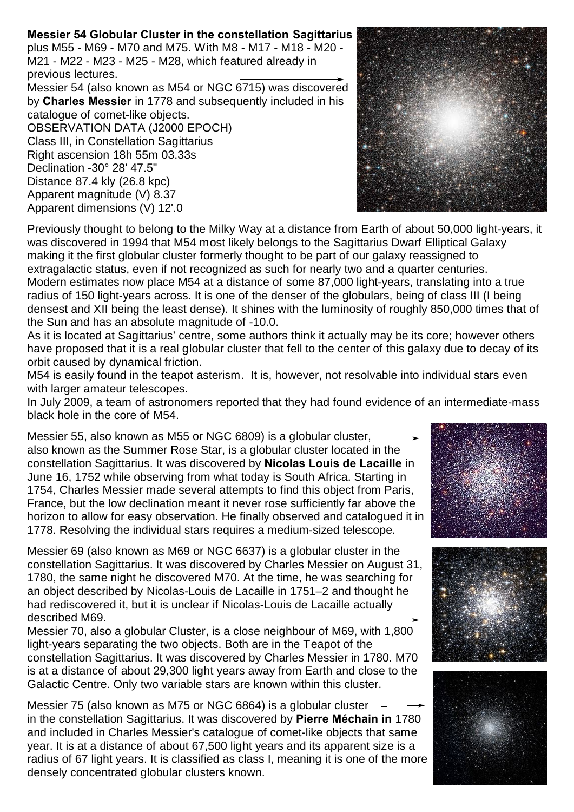## **Messier 54 Globular Cluster in the constellation Sagittarius**

plus M55 - M69 - M70 and M75. With M8 - M17 - M18 - M20 - M21 - M22 - M23 - M25 - M28, which featured already in previous lectures.

Messier 54 (also known as M54 or NGC 6715) was discovered by **Charles Messier** in 1778 and subsequently included in his catalogue of comet-like objects. OBSERVATION DATA (J2000 EPOCH) Class III, in Constellation Sagittarius Right ascension 18h 55m 03.33s Declination -30° 28' 47.5"

Distance 87.4 kly (26.8 kpc) Apparent magnitude (V) 8.37 Apparent dimensions (V) 12'.0



Previously thought to belong to the Milky Way at a distance from Earth of about 50,000 light-years, it was discovered in 1994 that M54 most likely belongs to the Sagittarius Dwarf Elliptical Galaxy making it the first globular cluster formerly thought to be part of our galaxy reassigned to extragalactic status, even if not recognized as such for nearly two and a quarter centuries. Modern estimates now place M54 at a distance of some 87,000 light-years, translating into a true radius of 150 light-years across. It is one of the denser of the globulars, being of class III (I being densest and XII being the least dense). It shines with the luminosity of roughly 850,000 times that of the Sun and has an absolute magnitude of -10.0.

As it is located at Sagittarius' centre, some authors think it actually may be its core; however others have proposed that it is a real globular cluster that fell to the center of this galaxy due to decay of its orbit caused by dynamical friction.

M54 is easily found in the teapot asterism. It is, however, not resolvable into individual stars even with larger amateur telescopes.

In July 2009, a team of astronomers reported that they had found evidence of an intermediate-mass black hole in the core of M54.

Messier 55, also known as M55 or NGC 6809) is a globular cluster, also known as the Summer Rose Star, is a globular cluster located in the constellation Sagittarius. It was discovered by **Nicolas Louis de Lacaille** in June 16, 1752 while observing from what today is South Africa. Starting in 1754, Charles Messier made several attempts to find this object from Paris, France, but the low declination meant it never rose sufficiently far above the horizon to allow for easy observation. He finally observed and catalogued it in 1778. Resolving the individual stars requires a medium-sized telescope.

Messier 69 (also known as M69 or NGC 6637) is a globular cluster in the constellation Sagittarius. It was discovered by Charles Messier on August 31, 1780, the same night he discovered M70. At the time, he was searching for an object described by Nicolas-Louis de Lacaille in 1751–2 and thought he had rediscovered it, but it is unclear if Nicolas-Louis de Lacaille actually described M69.

Messier 70, also a globular Cluster, is a close neighbour of M69, with 1,800 light-years separating the two objects. Both are in the Teapot of the constellation Sagittarius. It was discovered by Charles Messier in 1780. M70 is at a distance of about 29,300 light years away from Earth and close to the Galactic Centre. Only two variable stars are known within this cluster.

Messier 75 (also known as M75 or NGC 6864) is a globular cluster in the constellation Sagittarius. It was discovered by **Pierre Méchain in** 1780 and included in Charles Messier's catalogue of comet-like objects that same year. It is at a distance of about 67,500 light years and its apparent size is a radius of 67 light years. It is classified as class I, meaning it is one of the more densely concentrated globular clusters known.